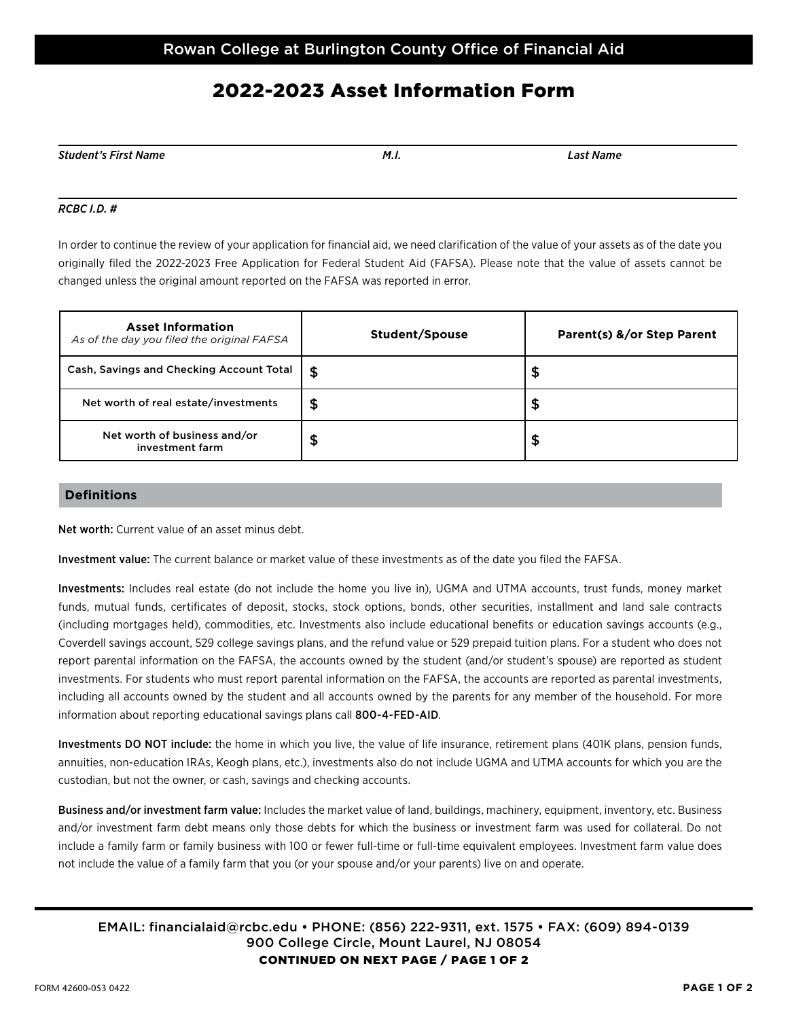# 2022-2023 Asset Information Form

| Student's First Name | M. I. | ast.<br>' Name |
|----------------------|-------|----------------|

### *RCBC I.D. #*

In order to continue the review of your application for financial aid, we need clarification of the value of your assets as of the date you originally filed the 2022-2023 Free Application for Federal Student Aid (FAFSA). Please note that the value of assets cannot be changed unless the original amount reported on the FAFSA was reported in error.

| <b>Asset Information</b><br>As of the day you filed the original FAFSA | Student/Spouse | Parent(s) &/or Step Parent |
|------------------------------------------------------------------------|----------------|----------------------------|
| Cash, Savings and Checking Account Total                               | -\$            | ቕ                          |
| Net worth of real estate/investments                                   | \$             | \$                         |
| Net worth of business and/or<br>investment farm                        | \$             | \$                         |

### **Definitions**

Net worth: Current value of an asset minus debt.

Investment value: The current balance or market value of these investments as of the date you filed the FAFSA.

Investments: Includes real estate (do not include the home you live in), UGMA and UTMA accounts, trust funds, money market funds, mutual funds, certificates of deposit, stocks, stock options, bonds, other securities, installment and land sale contracts (including mortgages held), commodities, etc. Investments also include educational benefits or education savings accounts (e.g., Coverdell savings account, 529 college savings plans, and the refund value or 529 prepaid tuition plans. For a student who does not report parental information on the FAFSA, the accounts owned by the student (and/or student's spouse) are reported as student investments. For students who must report parental information on the FAFSA, the accounts are reported as parental investments, including all accounts owned by the student and all accounts owned by the parents for any member of the household. For more information about reporting educational savings plans call 800-4-FED-AID.

Investments DO NOT include: the home in which you live, the value of life insurance, retirement plans (401K plans, pension funds, annuities, non-education IRAs, Keogh plans, etc.), investments also do not include UGMA and UTMA accounts for which you are the custodian, but not the owner, or cash, savings and checking accounts.

Business and/or investment farm value: Includes the market value of land, buildings, machinery, equipment, inventory, etc. Business and/or investment farm debt means only those debts for which the business or investment farm was used for collateral. Do not include a family farm or family business with 100 or fewer full-time or full-time equivalent employees. Investment farm value does not include the value of a family farm that you (or your spouse and/or your parents) live on and operate.

### EMAIL: financialaid@rcbc.edu • PHONE: (856) 222-9311, ext. 1575 • FAX: (609) 894-0139 900 College Circle, Mount Laurel, NJ 08054 CONTINUED ON NEXT PAGE / PAGE 1 OF 2